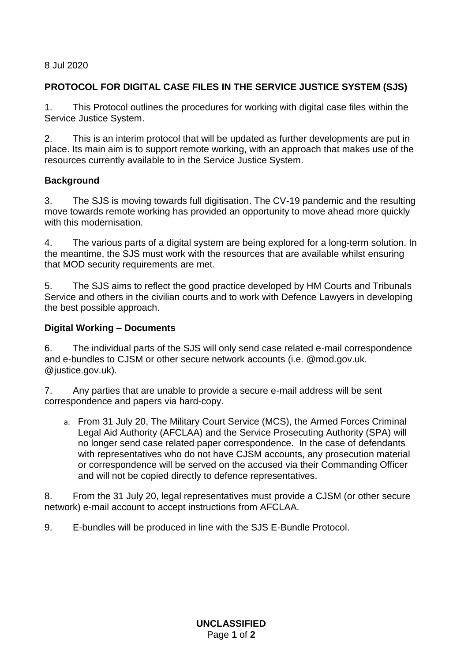8 Jul 2020

## **PROTOCOL FOR DIGITAL CASE FILES IN THE SERVICE JUSTICE SYSTEM (SJS)**

1. This Protocol outlines the procedures for working with digital case files within the Service Justice System.

2. This is an interim protocol that will be updated as further developments are put in place. Its main aim is to support remote working, with an approach that makes use of the resources currently available to in the Service Justice System.

## **Background**

3. The SJS is moving towards full digitisation. The CV-19 pandemic and the resulting move towards remote working has provided an opportunity to move ahead more quickly with this modernisation.

4. The various parts of a digital system are being explored for a long-term solution. In the meantime, the SJS must work with the resources that are available whilst ensuring that MOD security requirements are met.

5. The SJS aims to reflect the good practice developed by HM Courts and Tribunals Service and others in the civilian courts and to work with Defence Lawyers in developing the best possible approach.

## **Digital Working – Documents**

6. The individual parts of the SJS will only send case related e-mail correspondence and e-bundles to CJSM or other secure network accounts (i.e. @mod.gov.uk. @justice.gov.uk).

7. Any parties that are unable to provide a secure e-mail address will be sent correspondence and papers via hard-copy.

a. From 31 July 20, The Military Court Service (MCS), the Armed Forces Criminal Legal Aid Authority (AFCLAA) and the Service Prosecuting Authority (SPA) will no longer send case related paper correspondence. In the case of defendants with representatives who do not have CJSM accounts, any prosecution material or correspondence will be served on the accused via their Commanding Officer and will not be copied directly to defence representatives.

8. From the 31 July 20, legal representatives must provide a CJSM (or other secure network) e-mail account to accept instructions from AFCLAA.

9. E-bundles will be produced in line with the SJS E-Bundle Protocol.